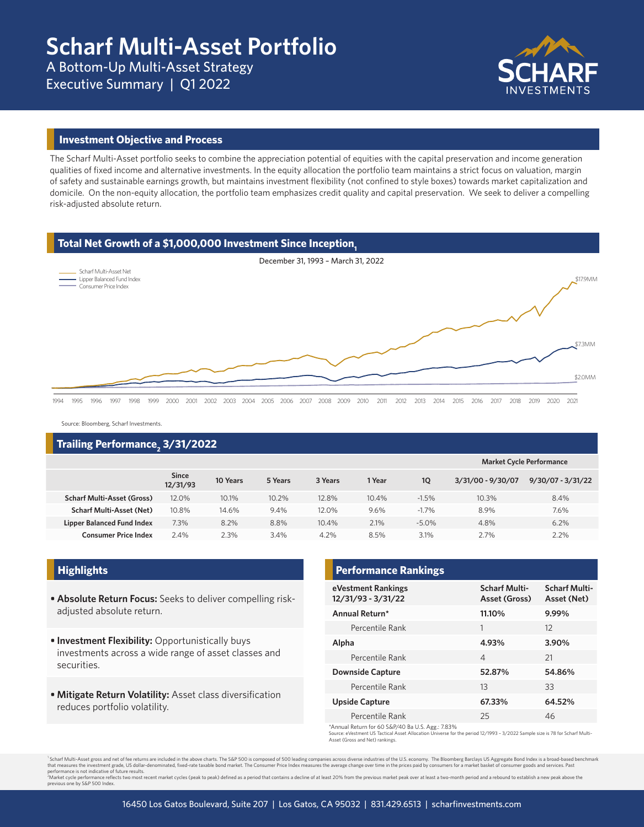A Bottom-Up Multi-Asset Strategy Executive Summary | Q1 2022



#### **Investment Objective and Process**

The Scharf Multi-Asset portfolio seeks to combine the appreciation potential of equities with the capital preservation and income generation qualities of fixed income and alternative investments. In the equity allocation the portfolio team maintains a strict focus on valuation, margin of safety and sustainable earnings growth, but maintains investment flexibility (not confined to style boxes) towards market capitalization and domicile. On the non-equity allocation, the portfolio team emphasizes credit quality and capital preservation. We seek to deliver a compelling risk-adjusted absolute return.

#### **Total Net Growth of a \$1,000,000 Investment Since Inception.**



Source: Bloomberg, Scharf Investments.

# **Trailing Performance2 3/31/2022**

|                                   |                          |          |         |         |        |          | <b>Market Cycle Performance</b> |                     |  |  |
|-----------------------------------|--------------------------|----------|---------|---------|--------|----------|---------------------------------|---------------------|--|--|
|                                   | <b>Since</b><br>12/31/93 | 10 Years | 5 Years | 3 Years | 1 Year | 1Q       | 3/31/00 - 9/30/07               | $9/30/07 - 3/31/22$ |  |  |
| <b>Scharf Multi-Asset (Gross)</b> | 12.0%                    | 10.1%    | 10.2%   | 12.8%   | 10.4%  | $-1.5%$  | 10.3%                           | 8.4%                |  |  |
| <b>Scharf Multi-Asset (Net)</b>   | 10.8%                    | 14.6%    | 9.4%    | 12.0%   | 9.6%   | $-1.7%$  | 8.9%                            | 7.6%                |  |  |
| <b>Lipper Balanced Fund Index</b> | 7.3%                     | 8.2%     | 8.8%    | 10.4%   | 2.1%   | $-5.0\%$ | 4.8%                            | 6.2%                |  |  |
| <b>Consumer Price Index</b>       | 2.4%                     | 2.3%     | 3.4%    | 4.2%    | 8.5%   | 3.1%     | 2.7%                            | 2.2%                |  |  |
|                                   |                          |          |         |         |        |          |                                 |                     |  |  |

- **• Absolute Return Focus:** Seeks to deliver compelling riskadjusted absolute return.
- **• Investment Flexibility:** Opportunistically buys investments across a wide range of asset classes and securities.
- **• Mitigate Return Volatility:** Asset class diversification reduces portfolio volatility.

## **Highlights Performance Rankings**

| eVestment Rankings<br>12/31/93 - 3/31/22 | <b>Scharf Multi-</b><br>Asset (Gross) | <b>Scharf Multi-</b><br>Asset (Net) |  |
|------------------------------------------|---------------------------------------|-------------------------------------|--|
| Annual Return*                           | 11.10%                                | 9.99%                               |  |
| Percentile Rank                          | 1                                     | 12                                  |  |
| Alpha                                    | 4.93%                                 | 3.90%                               |  |
| Percentile Rank                          | $\overline{\mathcal{A}}$              | 21                                  |  |
| <b>Downside Capture</b>                  | 52.87%                                | 54.86%                              |  |
| Percentile Rank                          | 13                                    | 33                                  |  |
| Upside Capture                           | 67.33%                                | 64.52%                              |  |
| Percentile Rank                          | 25                                    | 46                                  |  |

\*Annual Return for 60 S&P/40 Ba U.S. Agg.: 7.83%

Source: eVestment US Tactical Asset Allocation Universe for the period 12/1993 – 3/2022 Sample size is 78 for Scharf Multi-Asset (Gross and Net) rankings.

<sup>1</sup>Scharf Multi-Asset gross and net of fee returns are included in the above charts. The S&P 500 is composed of 500 leading companies across diverse industries of the U.S. economy. The Bloomberg Barclays US Aggregate Bond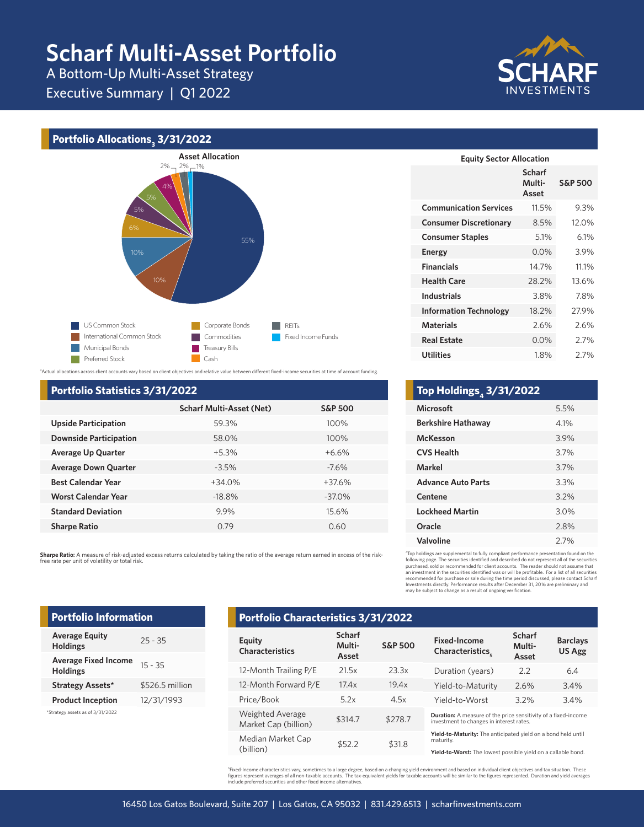# **Scharf Multi-Asset Portfolio**

A Bottom-Up Multi-Asset Strategy

Executive Summary | Q1 2022



# **Portfolio Allocations3 3/31/2022**



3 Actual allocations across client accounts vary based on client objectives and relative value between different fixed-income securities at time of account funding.

#### **Portfolio Statistics 3/31/2022**

|                               | <b>Scharf Multi-Asset (Net)</b> | <b>S&amp;P 500</b> |
|-------------------------------|---------------------------------|--------------------|
| <b>Upside Participation</b>   | 59.3%                           | 100%               |
| <b>Downside Participation</b> | 58.0%                           | 100%               |
| <b>Average Up Quarter</b>     | $+5.3%$                         | $+6.6%$            |
| <b>Average Down Quarter</b>   | $-3.5%$                         | $-7.6\%$           |
| <b>Best Calendar Year</b>     | $+34.0%$                        | $+37.6%$           |
| <b>Worst Calendar Year</b>    | $-18.8%$                        | $-37.0\%$          |
| <b>Standard Deviation</b>     | 9.9%                            | 15.6%              |
| <b>Sharpe Ratio</b>           | 0.79                            | 0.60               |

**Sharpe Ratio:** A measure of risk-adjusted excess returns calculated by taking the ratio of the average return earned in excess of the riskfree rate per unit of volatility or total risk.

| <b>Equity Sector Allocation</b> |                                  |                    |  |  |  |  |  |  |  |
|---------------------------------|----------------------------------|--------------------|--|--|--|--|--|--|--|
|                                 | <b>Scharf</b><br>Multi-<br>Asset | <b>S&amp;P 500</b> |  |  |  |  |  |  |  |
| <b>Communication Services</b>   | 11.5%                            | 9.3%               |  |  |  |  |  |  |  |
| <b>Consumer Discretionary</b>   | 8.5%                             | 12.0%              |  |  |  |  |  |  |  |
| <b>Consumer Staples</b>         | 5.1%                             | $6.1\%$            |  |  |  |  |  |  |  |
| <b>Energy</b>                   | 0.0%                             | 3.9%               |  |  |  |  |  |  |  |
| <b>Financials</b>               | 14.7%                            | 11.1%              |  |  |  |  |  |  |  |
| <b>Health Care</b>              | 28.2%                            | 13.6%              |  |  |  |  |  |  |  |
| <b>Industrials</b>              | 3.8%                             | 7.8%               |  |  |  |  |  |  |  |
| <b>Information Technology</b>   | 18.2%                            | 27.9%              |  |  |  |  |  |  |  |
| <b>Materials</b>                | 2.6%                             | 2.6%               |  |  |  |  |  |  |  |
| <b>Real Estate</b>              | 0.0%                             | 2.7%               |  |  |  |  |  |  |  |
| <b>Utilities</b>                | 1.8%                             | 2.7%               |  |  |  |  |  |  |  |

| Top Holdings <sub>4</sub> 3/31/2022 |      |
|-------------------------------------|------|
| <b>Microsoft</b>                    | 5.5% |
| <b>Berkshire Hathaway</b>           | 4.1% |
| McKesson                            | 3.9% |
| <b>CVS Health</b>                   | 3.7% |
| Markel                              | 3.7% |
| <b>Advance Auto Parts</b>           | 3.3% |
| Centene                             | 3.2% |
| <b>Lockheed Martin</b>              | 3.0% |
| Oracle                              | 2.8% |
| Valvoline                           | 2.7% |
|                                     |      |

4 Top holdings are supplemental to fully compliant performance presentation found on the following page. The securities identified and described do not represent all of the securities<br>purchased, sold or recommended for client accounts. The reader should not assume that<br>an investment in the securities identifie

### **Average Equity Holdings** 25 - 35 **Average Fixed Income**  Average **Fixed Income** 15 - 35<br>**Holdings Portfolio Information**

**Strategy Assets\*** \$526.5 million **Product Inception** 12/31/1993

| *Strategy assets as of 3/31/2022 |  |  |  |
|----------------------------------|--|--|--|

## **Portfolio Characteristics 3/31/2022**

| Equity<br><b>Characteristics</b>                | <b>Scharf</b><br>Multi-<br>Asset | <b>S&amp;P 500</b> | <b>Fixed-Income</b><br>Characteristics.                                                                           | <b>Scharf</b><br>Multi-<br>Asset | <b>Barclays</b><br><b>US Agg</b> |
|-------------------------------------------------|----------------------------------|--------------------|-------------------------------------------------------------------------------------------------------------------|----------------------------------|----------------------------------|
| 12-Month Trailing P/E                           | 21.5x                            | 23.3x              | Duration (years)                                                                                                  | 2.2                              | 6.4                              |
| 12-Month Forward P/E                            | 17.4x                            | 19.4x              | Yield-to-Maturity                                                                                                 | 2.6%                             | 3.4%                             |
| Price/Book                                      | 5.2x                             | 4.5x               | Yield-to-Worst                                                                                                    | 3.2%                             | 3.4%                             |
| <b>Weighted Average</b><br>Market Cap (billion) | \$314.7                          | \$278.7            | <b>Duration:</b> A measure of the price sensitivity of a fixed-income<br>investment to changes in interest rates. |                                  |                                  |
| Median Market Cap                               | \$52.2                           | \$31.8             | Yield-to-Maturity: The anticipated yield on a bond held until<br>maturity.                                        |                                  |                                  |
| (billion)                                       |                                  |                    | Yield-to-Worst: The lowest possible vield on a callable bond.                                                     |                                  |                                  |

 ${}^5$ Fixed-Income characteristics vary, sometimes to a large degree, based on a changing yield environment and based on individual client objectives and tax situation. These figures represent averages of all non-taxable accounts. The tax-equivalent yields for taxable accounts will be similar to the figures represented. Duration and yield averages<br>include preferred securities and other fixed in